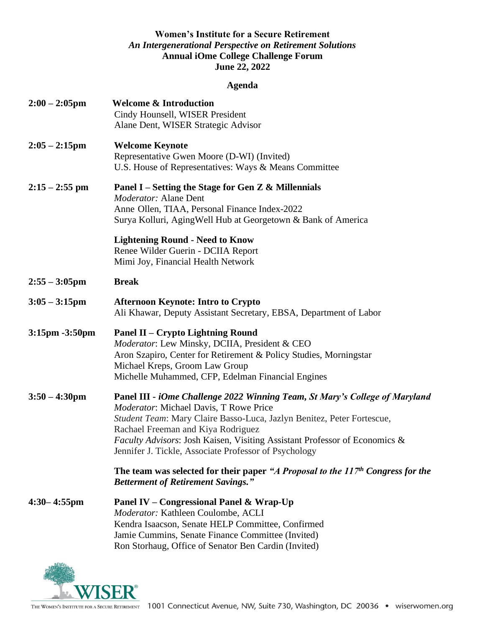#### **Women's Institute for a Secure Retirement** *An Intergenerational Perspective on Retirement Solutions* **Annual iOme College Challenge Forum June 22, 2022**

## **Agenda**

| $2:00 - 2:05$ pm        | <b>Welcome &amp; Introduction</b><br>Cindy Hounsell, WISER President<br>Alane Dent, WISER Strategic Advisor                                                                                                                                                                                                                                                                  |
|-------------------------|------------------------------------------------------------------------------------------------------------------------------------------------------------------------------------------------------------------------------------------------------------------------------------------------------------------------------------------------------------------------------|
| $2:05 - 2:15$ pm        | <b>Welcome Keynote</b><br>Representative Gwen Moore (D-WI) (Invited)<br>U.S. House of Representatives: Ways & Means Committee                                                                                                                                                                                                                                                |
| $2:15 - 2:55$ pm        | Panel I – Setting the Stage for Gen Z & Millennials<br><i>Moderator:</i> Alane Dent<br>Anne Ollen, TIAA, Personal Finance Index-2022<br>Surya Kolluri, Aging Well Hub at Georgetown & Bank of America                                                                                                                                                                        |
|                         | <b>Lightening Round - Need to Know</b><br>Renee Wilder Guerin - DCIIA Report<br>Mimi Joy, Financial Health Network                                                                                                                                                                                                                                                           |
| $2:55 - 3:05$ pm        | <b>Break</b>                                                                                                                                                                                                                                                                                                                                                                 |
| $3:05 - 3:15$ pm        | <b>Afternoon Keynote: Intro to Crypto</b><br>Ali Khawar, Deputy Assistant Secretary, EBSA, Department of Labor                                                                                                                                                                                                                                                               |
| $3:15$ pm $-3:50$ pm    | Panel II – Crypto Lightning Round<br>Moderator: Lew Minsky, DCIIA, President & CEO<br>Aron Szapiro, Center for Retirement & Policy Studies, Morningstar<br>Michael Kreps, Groom Law Group<br>Michelle Muhammed, CFP, Edelman Financial Engines                                                                                                                               |
| $3:50 - 4:30 \text{pm}$ | Panel III - iOme Challenge 2022 Winning Team, St Mary's College of Maryland<br>Moderator: Michael Davis, T Rowe Price<br>Student Team: Mary Claire Basso-Luca, Jazlyn Benitez, Peter Fortescue,<br>Rachael Freeman and Kiya Rodriguez<br>Faculty Advisors: Josh Kaisen, Visiting Assistant Professor of Economics &<br>Jennifer J. Tickle, Associate Professor of Psychology |
|                         | The team was selected for their paper "A Proposal to the $117th$ Congress for the<br><b>Betterment of Retirement Savings."</b>                                                                                                                                                                                                                                               |
| $4:30 - 4:55$ pm        | Panel IV – Congressional Panel & Wrap-Up<br>Moderator: Kathleen Coulombe, ACLI<br>Kendra Isaacson, Senate HELP Committee, Confirmed<br>Jamie Cummins, Senate Finance Committee (Invited)<br>Ron Storhaug, Office of Senator Ben Cardin (Invited)                                                                                                                             |